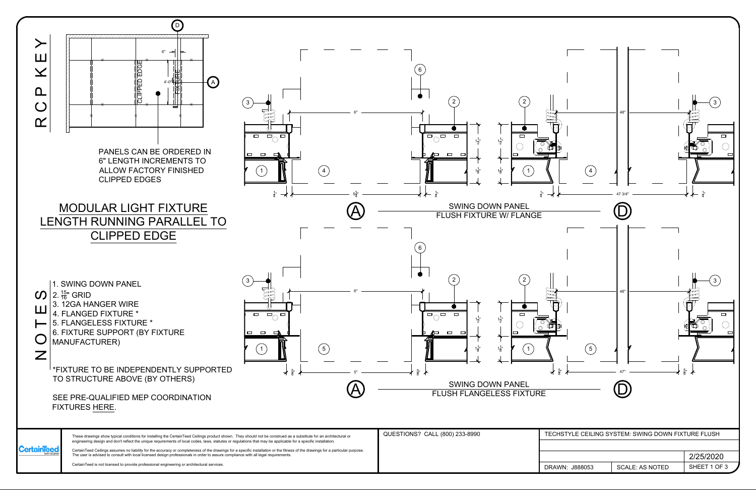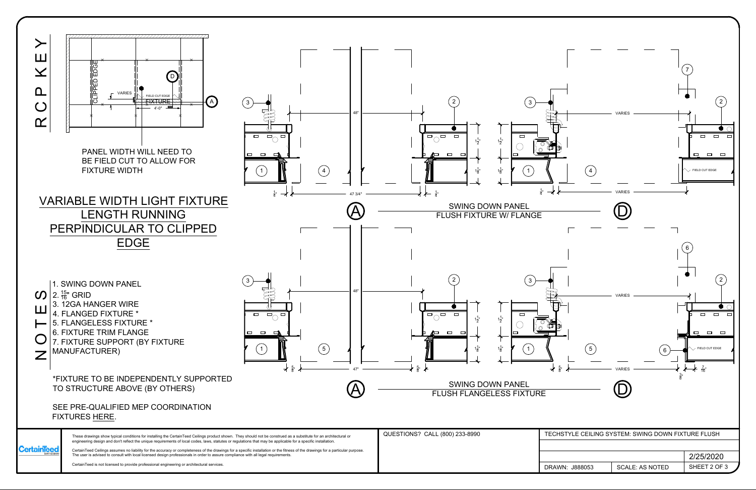